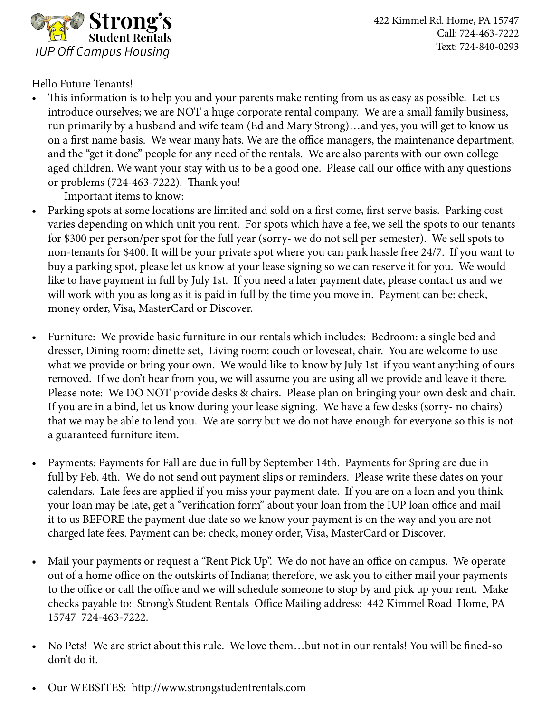

Hello Future Tenants!

• This information is to help you and your parents make renting from us as easy as possible. Let us introduce ourselves; we are NOT a huge corporate rental company. We are a small family business, run primarily by a husband and wife team (Ed and Mary Strong)…and yes, you will get to know us on a first name basis. We wear many hats. We are the office managers, the maintenance department, and the "get it done" people for any need of the rentals. We are also parents with our own college aged children. We want your stay with us to be a good one. Please call our office with any questions or problems (724-463-7222). Thank you!

Important items to know:

- Parking spots at some locations are limited and sold on a first come, first serve basis. Parking cost varies depending on which unit you rent. For spots which have a fee, we sell the spots to our tenants for \$300 per person/per spot for the full year (sorry- we do not sell per semester). We sell spots to non-tenants for \$400. It will be your private spot where you can park hassle free 24/7. If you want to buy a parking spot, please let us know at your lease signing so we can reserve it for you. We would like to have payment in full by July 1st. If you need a later payment date, please contact us and we will work with you as long as it is paid in full by the time you move in. Payment can be: check, money order, Visa, MasterCard or Discover.
- Furniture: We provide basic furniture in our rentals which includes: Bedroom: a single bed and dresser, Dining room: dinette set, Living room: couch or loveseat, chair. You are welcome to use what we provide or bring your own. We would like to know by July 1st if you want anything of ours removed. If we don't hear from you, we will assume you are using all we provide and leave it there. Please note: We DO NOT provide desks & chairs. Please plan on bringing your own desk and chair. If you are in a bind, let us know during your lease signing. We have a few desks (sorry- no chairs) that we may be able to lend you. We are sorry but we do not have enough for everyone so this is not a guaranteed furniture item.
- Payments: Payments for Fall are due in full by September 14th. Payments for Spring are due in full by Feb. 4th. We do not send out payment slips or reminders. Please write these dates on your calendars. Late fees are applied if you miss your payment date. If you are on a loan and you think your loan may be late, get a "verification form" about your loan from the IUP loan office and mail it to us BEFORE the payment due date so we know your payment is on the way and you are not charged late fees. Payment can be: check, money order, Visa, MasterCard or Discover.
- Mail your payments or request a "Rent Pick Up". We do not have an office on campus. We operate out of a home office on the outskirts of Indiana; therefore, we ask you to either mail your payments to the office or call the office and we will schedule someone to stop by and pick up your rent. Make checks payable to: Strong's Student Rentals Office Mailing address: 442 Kimmel Road Home, PA 15747 724-463-7222.
- No Pets! We are strict about this rule. We love them…but not in our rentals! You will be fined-so don't do it.
- Our WEBSITES: http://www.strongstudentrentals.com